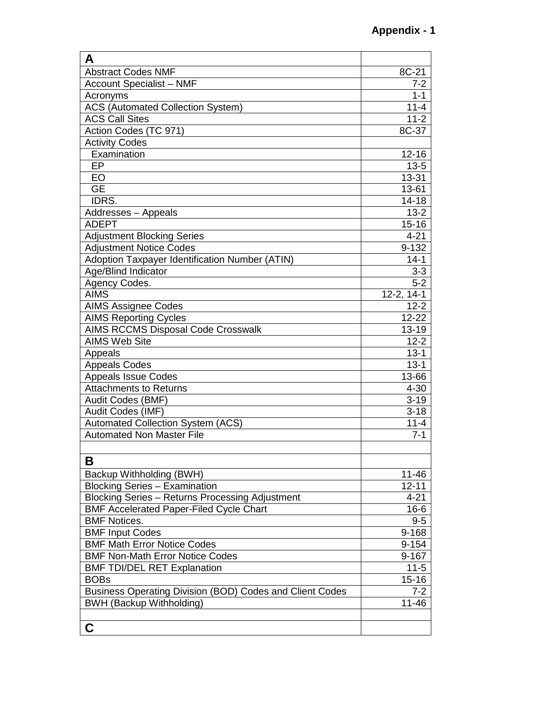| A                                                        |            |
|----------------------------------------------------------|------------|
| <b>Abstract Codes NMF</b>                                | 8C-21      |
| <b>Account Specialist - NMF</b>                          | 7-2        |
| Acronyms                                                 | $1 - 1$    |
| <b>ACS (Automated Collection System)</b>                 | $11 - 4$   |
| <b>ACS Call Sites</b>                                    | $11 - 2$   |
| Action Codes (TC 971)                                    | $8C-37$    |
| <b>Activity Codes</b>                                    |            |
| Examination                                              | $12 - 16$  |
| EP                                                       | $13 - 5$   |
| EO                                                       | 13-31      |
| <b>GE</b>                                                | 13-61      |
| IDRS.                                                    | $14 - 18$  |
| Addresses - Appeals                                      | $13 - 2$   |
| <b>ADEPT</b>                                             | $15 - 16$  |
| <b>Adjustment Blocking Series</b>                        | $4 - 21$   |
| <b>Adjustment Notice Codes</b>                           | 9-132      |
| Adoption Taxpayer Identification Number (ATIN)           | $14 - 1$   |
| Age/Blind Indicator                                      | $3 - 3$    |
| Agency Codes.                                            | $5 - 2$    |
| <b>AIMS</b>                                              | 12-2, 14-1 |
| <b>AIMS Assignee Codes</b>                               | $12 - 2$   |
| <b>AIMS Reporting Cycles</b>                             | $12 - 22$  |
| <b>AIMS RCCMS Disposal Code Crosswalk</b>                | $13 - 19$  |
| <b>AIMS Web Site</b>                                     | $12 - 2$   |
| Appeals                                                  | $13 - 1$   |
| <b>Appeals Codes</b>                                     | $13 - 1$   |
| <b>Appeals Issue Codes</b>                               | 13-66      |
| <b>Attachments to Returns</b>                            | $4 - 30$   |
| Audit Codes (BMF)                                        | $3 - 19$   |
| Audit Codes (IMF)                                        | $3 - 18$   |
| <b>Automated Collection System (ACS)</b>                 | $11 - 4$   |
| <b>Automated Non Master File</b>                         | $7 - 1$    |
|                                                          |            |
| В                                                        |            |
| Backup Withholding (BWH)                                 | 11-46      |
| <b>Blocking Series - Examination</b>                     | $12 - 11$  |
| <b>Blocking Series - Returns Processing Adjustment</b>   | $4 - 21$   |
| <b>BMF Accelerated Paper-Filed Cycle Chart</b>           | $16 - 6$   |
| <b>BMF Notices.</b>                                      | $9 - 5$    |
| <b>BMF Input Codes</b>                                   | 9-168      |
| <b>BMF Math Error Notice Codes</b>                       | 9-154      |
| <b>BMF Non-Math Error Notice Codes</b>                   | 9-167      |
| <b>BMF TDI/DEL RET Explanation</b>                       | $11 - 5$   |
| <b>BOBs</b>                                              | $15 - 16$  |
| Business Operating Division (BOD) Codes and Client Codes | $7 - 2$    |
| <b>BWH (Backup Withholding)</b>                          | $11 - 46$  |
|                                                          |            |
| C                                                        |            |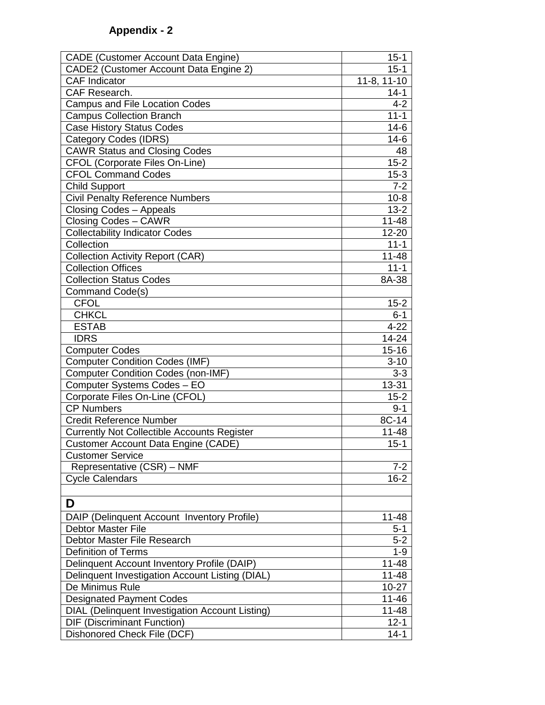| <b>CADE (Customer Account Data Engine)</b>         | $15 - 1$    |
|----------------------------------------------------|-------------|
| CADE2 (Customer Account Data Engine 2)             | $15 - 1$    |
| <b>CAF Indicator</b>                               | 11-8, 11-10 |
| CAF Research.                                      | $14 - 1$    |
| Campus and File Location Codes                     | $4 - 2$     |
| <b>Campus Collection Branch</b>                    | $11 - 1$    |
| <b>Case History Status Codes</b>                   | $14-6$      |
| <b>Category Codes (IDRS)</b>                       | $14-6$      |
| <b>CAWR Status and Closing Codes</b>               | 48          |
| <b>CFOL (Corporate Files On-Line)</b>              | $15 - 2$    |
| <b>CFOL Command Codes</b>                          | $15 - 3$    |
| <b>Child Support</b>                               | $7 - 2$     |
| <b>Civil Penalty Reference Numbers</b>             | $10 - 8$    |
| Closing Codes - Appeals                            | $13 - 2$    |
| Closing Codes - CAWR                               | $11 - 48$   |
| <b>Collectability Indicator Codes</b>              | 12-20       |
| Collection                                         | $11 - 1$    |
| Collection Activity Report (CAR)                   | $11 - 48$   |
| <b>Collection Offices</b>                          | $11 - 1$    |
| <b>Collection Status Codes</b>                     | 8A-38       |
| Command Code(s)                                    |             |
| <b>CFOL</b>                                        | $15 - 2$    |
| <b>CHKCL</b>                                       | $6 - 1$     |
| <b>ESTAB</b>                                       | $4 - 22$    |
| <b>IDRS</b>                                        | $14 - 24$   |
| <b>Computer Codes</b>                              | $15 - 16$   |
| <b>Computer Condition Codes (IMF)</b>              | $3 - 10$    |
| <b>Computer Condition Codes (non-IMF)</b>          | $3 - 3$     |
| Computer Systems Codes - EO                        | 13-31       |
| Corporate Files On-Line (CFOL)                     | $15 - 2$    |
| <b>CP Numbers</b>                                  | $9 - 1$     |
| <b>Credit Reference Number</b>                     | 8C-14       |
| <b>Currently Not Collectible Accounts Register</b> | $11 - 48$   |
| <b>Customer Account Data Engine (CADE)</b>         | $15 - 1$    |
| <b>Customer Service</b>                            |             |
| Representative (CSR) – NMF                         | 7-2         |
| <b>Cycle Calendars</b>                             | 16-2        |
|                                                    |             |
| D                                                  |             |
| DAIP (Delinquent Account Inventory Profile)        | $11 - 48$   |
| <b>Debtor Master File</b>                          | $5 - 1$     |
| Debtor Master File Research                        | $5 - 2$     |
| <b>Definition of Terms</b>                         | $1 - 9$     |
| Delinquent Account Inventory Profile (DAIP)        | 11-48       |
| Delinquent Investigation Account Listing (DIAL)    | $11 - 48$   |
| De Minimus Rule                                    | $10 - 27$   |
| <b>Designated Payment Codes</b>                    | 11-46       |
| DIAL (Delinquent Investigation Account Listing)    | $11 - 48$   |
| <b>DIF (Discriminant Function)</b>                 | $12 - 1$    |
| Dishonored Check File (DCF)                        | $14 - 1$    |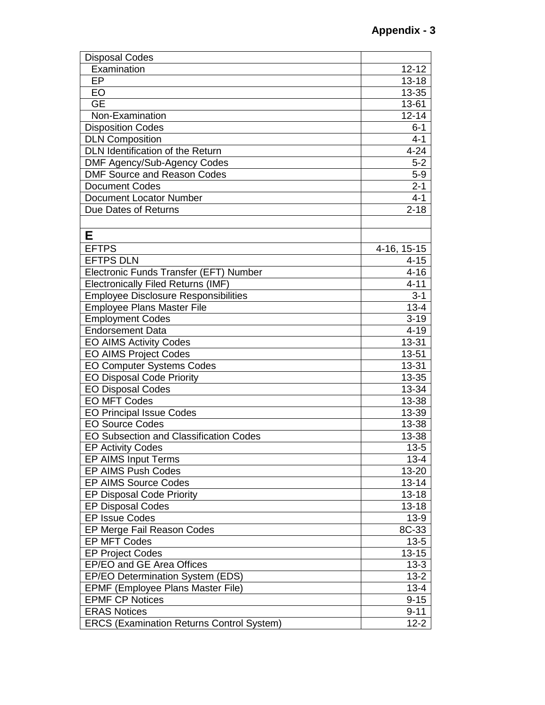| <b>Disposal Codes</b>                            |             |
|--------------------------------------------------|-------------|
| Examination                                      | $12 - 12$   |
| EP                                               | $13 - 18$   |
| EO                                               | 13-35       |
| <b>GE</b>                                        | 13-61       |
| Non-Examination                                  | $12 - 14$   |
| <b>Disposition Codes</b>                         | $6 - 1$     |
| <b>DLN Composition</b>                           | $4 - 1$     |
| DLN Identification of the Return                 | $4 - 24$    |
| DMF Agency/Sub-Agency Codes                      | $5-2$       |
| <b>DMF Source and Reason Codes</b>               | $5-9$       |
| <b>Document Codes</b>                            | $2 - 1$     |
| <b>Document Locator Number</b>                   | $4 - 1$     |
| Due Dates of Returns                             | $2 - 18$    |
|                                                  |             |
| Е                                                |             |
| <b>EFTPS</b>                                     | 4-16, 15-15 |
| <b>EFTPS DLN</b>                                 | $4 - 15$    |
| Electronic Funds Transfer (EFT) Number           | $4 - 16$    |
| <b>Electronically Filed Returns (IMF)</b>        | $4 - 11$    |
|                                                  | $3 - 1$     |
| <b>Employee Disclosure Responsibilities</b>      |             |
| <b>Employee Plans Master File</b>                | $13 - 4$    |
| <b>Employment Codes</b>                          | $3 - 19$    |
| <b>Endorsement Data</b>                          | $4 - 19$    |
| <b>EO AIMS Activity Codes</b>                    | 13-31       |
| <b>EO AIMS Project Codes</b>                     | 13-51       |
| <b>EO Computer Systems Codes</b>                 | 13-31       |
| <b>EO Disposal Code Priority</b>                 | 13-35       |
| <b>EO Disposal Codes</b>                         | 13-34       |
| <b>EO MFT Codes</b>                              | 13-38       |
| <b>EO Principal Issue Codes</b>                  | 13-39       |
| <b>EO Source Codes</b>                           | 13-38       |
| EO Subsection and Classification Codes           | 13-38       |
| <b>EP Activity Codes</b>                         | $13 - 5$    |
| EP AIMS Input Terms                              | $13 - 4$    |
| EP AIMS Push Codes                               | 13-20       |
| <b>EP AIMS Source Codes</b>                      | $13 - 14$   |
| <b>EP Disposal Code Priority</b>                 | $13 - 18$   |
| <b>EP Disposal Codes</b>                         | $13 - 18$   |
| <b>EP Issue Codes</b>                            | $13-9$      |
| EP Merge Fail Reason Codes                       | 8C-33       |
| <b>EP MFT Codes</b>                              | $13 - 5$    |
| <b>EP Project Codes</b>                          | $13 - 15$   |
| EP/EO and GE Area Offices                        | $13 - 3$    |
| EP/EO Determination System (EDS)                 | $13 - 2$    |
| EPMF (Employee Plans Master File)                | $13 - 4$    |
| <b>EPMF CP Notices</b>                           | $9 - 15$    |
| <b>ERAS Notices</b>                              | $9 - 11$    |
| <b>ERCS (Examination Returns Control System)</b> | $12 - 2$    |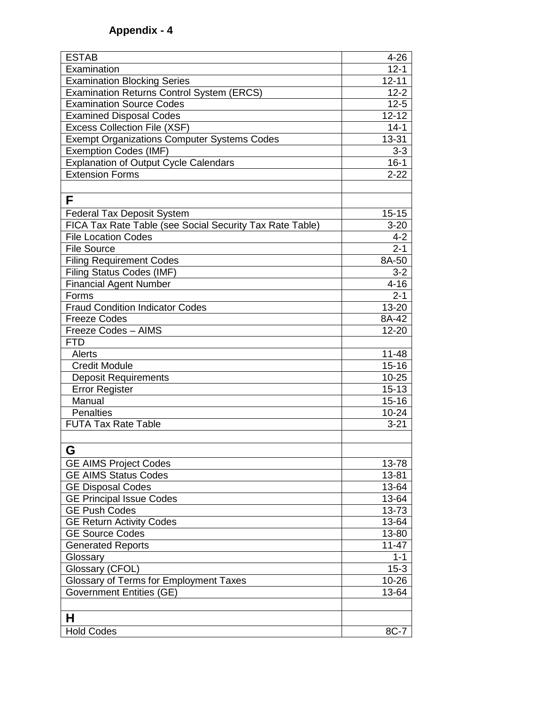| <b>ESTAB</b>                                             | $4 - 26$  |
|----------------------------------------------------------|-----------|
| Examination                                              | $12 - 1$  |
| <b>Examination Blocking Series</b>                       | $12 - 11$ |
| <b>Examination Returns Control System (ERCS)</b>         | $12 - 2$  |
| <b>Examination Source Codes</b>                          | $12 - 5$  |
| <b>Examined Disposal Codes</b>                           | $12 - 12$ |
| <b>Excess Collection File (XSF)</b>                      | $14 - 1$  |
| <b>Exempt Organizations Computer Systems Codes</b>       | 13-31     |
| <b>Exemption Codes (IMF)</b>                             | $3 - 3$   |
| <b>Explanation of Output Cycle Calendars</b>             | $16 - 1$  |
| <b>Extension Forms</b>                                   | $2 - 22$  |
|                                                          |           |
| F                                                        |           |
| <b>Federal Tax Deposit System</b>                        | $15 - 15$ |
| FICA Tax Rate Table (see Social Security Tax Rate Table) | $3 - 20$  |
| <b>File Location Codes</b>                               | $4 - 2$   |
| <b>File Source</b>                                       | $2 - 1$   |
| <b>Filing Requirement Codes</b>                          | 8A-50     |
| Filing Status Codes (IMF)                                | $3 - 2$   |
| <b>Financial Agent Number</b>                            | $4 - 16$  |
| Forms                                                    | $2 - 1$   |
| <b>Fraud Condition Indicator Codes</b>                   | 13-20     |
| <b>Freeze Codes</b>                                      | 8A-42     |
| Freeze Codes - AIMS                                      | $12 - 20$ |
| <b>FTD</b>                                               |           |
| Alerts                                                   | $11 - 48$ |
| <b>Credit Module</b>                                     | $15 - 16$ |
| <b>Deposit Requirements</b>                              | $10 - 25$ |
| Error Register                                           | $15 - 13$ |
| Manual                                                   | $15 - 16$ |
| <b>Penalties</b>                                         | $10 - 24$ |
| <b>FUTA Tax Rate Table</b>                               | $3 - 21$  |
|                                                          |           |
| G                                                        |           |
| <b>GE AIMS Project Codes</b>                             | 13-78     |
| <b>GE AIMS Status Codes</b>                              | 13-81     |
| <b>GE Disposal Codes</b>                                 | 13-64     |
| <b>GE Principal Issue Codes</b>                          | 13-64     |
| <b>GE Push Codes</b>                                     | 13-73     |
| <b>GE Return Activity Codes</b>                          | 13-64     |
| <b>GE Source Codes</b>                                   | 13-80     |
| <b>Generated Reports</b>                                 | $11 - 47$ |
| Glossary                                                 | $1 - 1$   |
| Glossary (CFOL)                                          | $15 - 3$  |
| Glossary of Terms for Employment Taxes                   | 10-26     |
| <b>Government Entities (GE)</b>                          | 13-64     |
|                                                          |           |
| н                                                        |           |
| <b>Hold Codes</b>                                        | 8C-7      |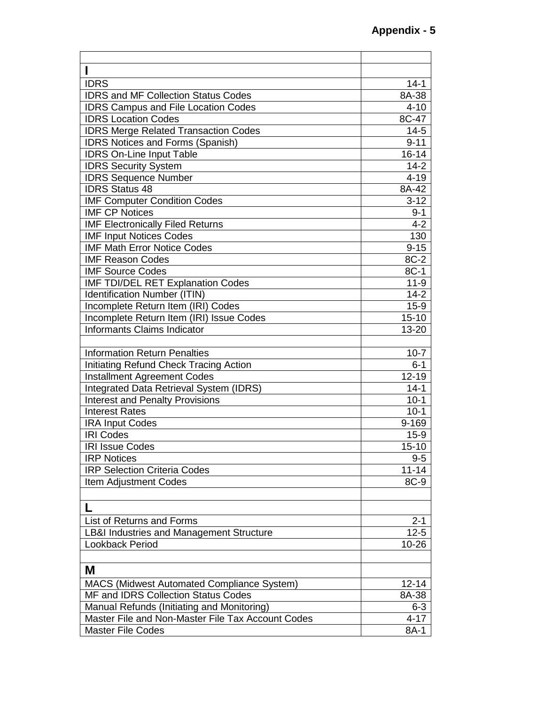| <b>IDRS</b>                                         | $14 - 1$  |
|-----------------------------------------------------|-----------|
| <b>IDRS and MF Collection Status Codes</b>          | 8A-38     |
| <b>IDRS Campus and File Location Codes</b>          | $4 - 10$  |
| <b>IDRS Location Codes</b>                          | 8C-47     |
| <b>IDRS Merge Related Transaction Codes</b>         | $14 - 5$  |
| <b>IDRS Notices and Forms (Spanish)</b>             | $9 - 11$  |
| <b>IDRS On-Line Input Table</b>                     | $16 - 14$ |
| <b>IDRS Security System</b>                         | $14 - 2$  |
| <b>IDRS Sequence Number</b>                         | $4 - 19$  |
| <b>IDRS Status 48</b>                               | 8A-42     |
| <b>IMF Computer Condition Codes</b>                 | $3 - 12$  |
| <b>IMF CP Notices</b>                               | $9 - 1$   |
| <b>IMF Electronically Filed Returns</b>             | $4 - 2$   |
| <b>IMF Input Notices Codes</b>                      | 130       |
| <b>IMF Math Error Notice Codes</b>                  | $9 - 15$  |
| <b>IMF Reason Codes</b>                             | 8C-2      |
| <b>IMF Source Codes</b>                             | $8C-1$    |
| IMF TDI/DEL RET Explanation Codes                   | $11 - 9$  |
| <b>Identification Number (ITIN)</b>                 | $14 - 2$  |
| Incomplete Return Item (IRI) Codes                  | $15-9$    |
| Incomplete Return Item (IRI) Issue Codes            | $15 - 10$ |
| Informants Claims Indicator                         | 13-20     |
|                                                     |           |
| <b>Information Return Penalties</b>                 | $10 - 7$  |
| Initiating Refund Check Tracing Action              | $6 - 1$   |
| <b>Installment Agreement Codes</b>                  | $12 - 19$ |
| Integrated Data Retrieval System (IDRS)             | $14 - 1$  |
| <b>Interest and Penalty Provisions</b>              | $10-1$    |
| <b>Interest Rates</b>                               | $10-1$    |
| <b>IRA Input Codes</b>                              | 9-169     |
| <b>IRI Codes</b>                                    | $15-9$    |
| <b>IRI Issue Codes</b>                              | $15 - 10$ |
| <b>IRP Notices</b>                                  | $9 - 5$   |
| <b>IRP Selection Criteria Codes</b>                 | $11 - 14$ |
| <b>Item Adjustment Codes</b>                        | 8C-9      |
|                                                     |           |
| L                                                   |           |
| List of Returns and Forms                           | $2 - 1$   |
| <b>LB&amp;I Industries and Management Structure</b> | $12 - 5$  |
| Lookback Period                                     | 10-26     |
|                                                     |           |
| M                                                   |           |
| <b>MACS (Midwest Automated Compliance System)</b>   | $12 - 14$ |
| MF and IDRS Collection Status Codes                 | 8A-38     |
| Manual Refunds (Initiating and Monitoring)          | $6 - 3$   |
| Master File and Non-Master File Tax Account Codes   | $4 - 17$  |
| <b>Master File Codes</b>                            | 8A-1      |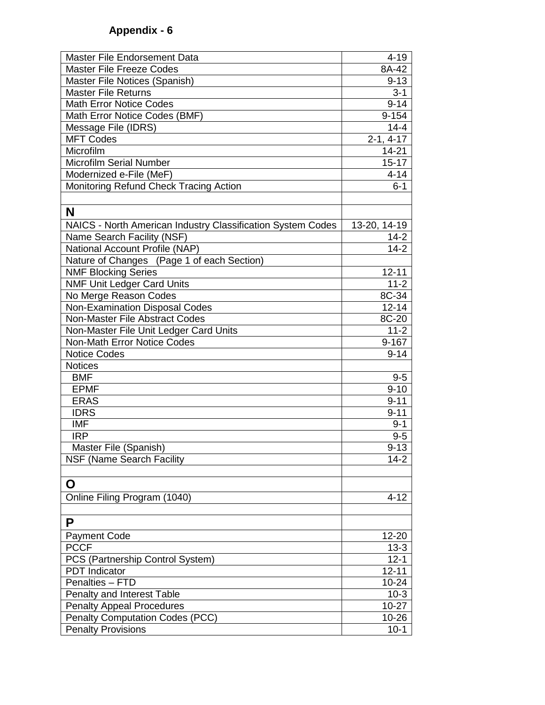| <b>Master File Endorsement Data</b>                         | $4 - 19$            |
|-------------------------------------------------------------|---------------------|
| <b>Master File Freeze Codes</b>                             | 8A-42               |
| Master File Notices (Spanish)                               | $9 - 13$            |
| <b>Master File Returns</b>                                  | $3 - 1$             |
| <b>Math Error Notice Codes</b>                              | $9 - 14$            |
| Math Error Notice Codes (BMF)                               | $9 - 154$           |
| Message File (IDRS)                                         | $14 - 4$            |
| <b>MFT Codes</b>                                            | $2-1, 4-17$         |
| Microfilm                                                   | 14-21               |
| <b>Microfilm Serial Number</b>                              | $15 - 17$           |
| Modernized e-File (MeF)                                     | $4 - 14$            |
| Monitoring Refund Check Tracing Action                      | $6 - 1$             |
|                                                             |                     |
| N                                                           |                     |
| NAICS - North American Industry Classification System Codes | 13-20, 14-19        |
| Name Search Facility (NSF)                                  | $14 - 2$            |
| National Account Profile (NAP)                              | $14 - 2$            |
| Nature of Changes (Page 1 of each Section)                  |                     |
| <b>NMF Blocking Series</b>                                  | $12 - 11$           |
| <b>NMF Unit Ledger Card Units</b>                           | $11 - 2$            |
| No Merge Reason Codes                                       | 8C-34               |
| Non-Examination Disposal Codes                              | $12 - 14$           |
| Non-Master File Abstract Codes                              | 8C-20               |
| Non-Master File Unit Ledger Card Units                      | $11 - 2$            |
| <b>Non-Math Error Notice Codes</b>                          | $9 - 167$           |
| <b>Notice Codes</b>                                         | $9 - 14$            |
| <b>Notices</b>                                              |                     |
| <b>BMF</b>                                                  | $9-5$               |
| <b>EPMF</b>                                                 | $9 - 10$            |
| <b>ERAS</b>                                                 | $9 - 11$            |
| <b>IDRS</b>                                                 | $9 - 11$            |
| <b>IMF</b>                                                  | $9 - 1$             |
| <b>IRP</b>                                                  | $9 - 5$             |
| Master File (Spanish)                                       | $9 - 13$            |
| <b>NSF (Name Search Facility</b>                            | $14 - 2$            |
|                                                             |                     |
| O                                                           |                     |
| Online Filing Program (1040)                                | $4 - 12$            |
|                                                             |                     |
| P                                                           |                     |
| <b>Payment Code</b>                                         | 12-20               |
| <b>PCCF</b>                                                 | $13 - 3$            |
| PCS (Partnership Control System)                            | $\overline{12} - 1$ |
| <b>PDT</b> Indicator                                        | $12 - 11$           |
| Penalties - FTD                                             | $10 - 24$           |
| Penalty and Interest Table                                  | $10-3$              |
| <b>Penalty Appeal Procedures</b>                            | $10 - 27$           |
| <b>Penalty Computation Codes (PCC)</b>                      | 10-26               |
| <b>Penalty Provisions</b>                                   | $10 - 1$            |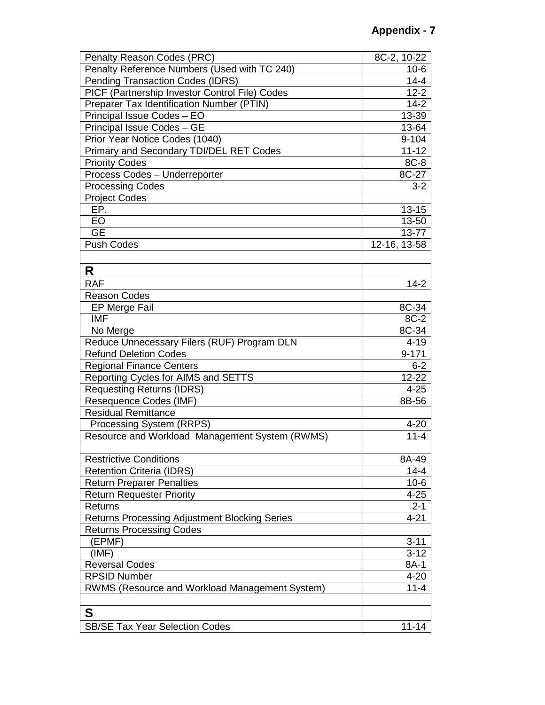| Penalty Reason Codes (PRC)                           | 8C-2, 10-22  |
|------------------------------------------------------|--------------|
| Penalty Reference Numbers (Used with TC 240)         | $10-6$       |
| <b>Pending Transaction Codes (IDRS)</b>              | $14 - 4$     |
| PICF (Partnership Investor Control File) Codes       | $12 - 2$     |
| Preparer Tax Identification Number (PTIN)            | $14 - 2$     |
| Principal Issue Codes - EO                           | 13-39        |
| Principal Issue Codes - GE                           | 13-64        |
| Prior Year Notice Codes (1040)                       | $9 - 104$    |
| Primary and Secondary TDI/DEL RET Codes              | $11 - 12$    |
| <b>Priority Codes</b>                                | 8C-8         |
| Process Codes - Underreporter                        | 8C-27        |
| <b>Processing Codes</b>                              | $3 - 2$      |
| <b>Project Codes</b>                                 |              |
| EP.                                                  | $13 - 15$    |
| EO                                                   | 13-50        |
| <b>GE</b>                                            | 13-77        |
| <b>Push Codes</b>                                    | 12-16, 13-58 |
|                                                      |              |
| R                                                    |              |
|                                                      |              |
| <b>RAF</b>                                           | $14 - 2$     |
| <b>Reason Codes</b>                                  |              |
| EP Merge Fail                                        | 8C-34        |
| <b>IMF</b>                                           | 8C-2         |
| No Merge                                             | $8C-34$      |
| Reduce Unnecessary Filers (RUF) Program DLN          | $4 - 19$     |
| <b>Refund Deletion Codes</b>                         | $9 - 171$    |
| <b>Regional Finance Centers</b>                      | $6 - 2$      |
| Reporting Cycles for AIMS and SETTS                  | $12 - 22$    |
| <b>Requesting Returns (IDRS)</b>                     | $4 - 25$     |
| Resequence Codes (IMF)                               | 8B-56        |
| <b>Residual Remittance</b>                           |              |
| Processing System (RRPS)                             | $4 - 20$     |
| Resource and Workload Management System (RWMS)       | $11 - 4$     |
|                                                      |              |
| <b>Restrictive Conditions</b>                        | 8A-49        |
| <b>Retention Criteria (IDRS)</b>                     | $14 - 4$     |
| <b>Return Preparer Penalties</b>                     | $10-6$       |
| <b>Return Requester Priority</b>                     | $4 - 25$     |
| <b>Returns</b>                                       | $2 - 1$      |
| <b>Returns Processing Adjustment Blocking Series</b> | $4 - 21$     |
| <b>Returns Processing Codes</b>                      |              |
| (EPMF)                                               | $3 - 11$     |
| (IMF)                                                | $3 - 12$     |
| <b>Reversal Codes</b>                                | 8A-1         |
| <b>RPSID Number</b>                                  | $4 - 20$     |
| RWMS (Resource and Workload Management System)       | $11 - 4$     |
|                                                      |              |
| S                                                    |              |
| <b>SB/SE Tax Year Selection Codes</b>                | $11 - 14$    |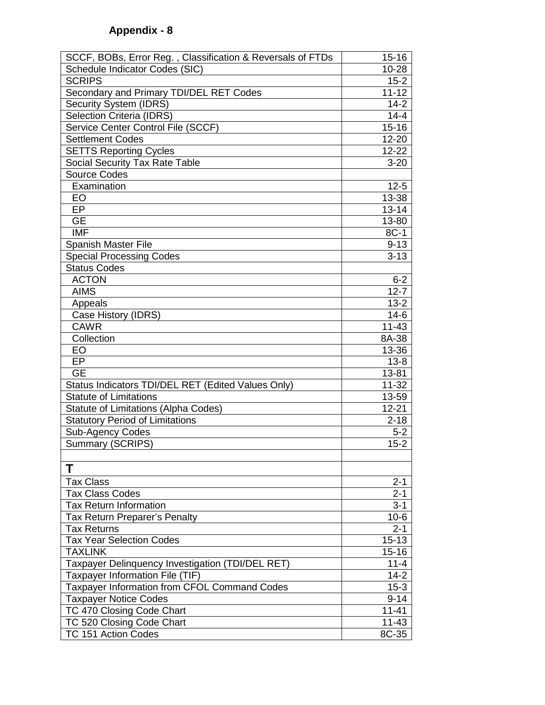| SCCF, BOBs, Error Reg., Classification & Reversals of FTDs | $15 - 16$ |
|------------------------------------------------------------|-----------|
| Schedule Indicator Codes (SIC)                             | 10-28     |
| <b>SCRIPS</b>                                              | $15 - 2$  |
| Secondary and Primary TDI/DEL RET Codes                    | $11 - 12$ |
| <b>Security System (IDRS)</b>                              | $14 - 2$  |
| <b>Selection Criteria (IDRS)</b>                           | $14 - 4$  |
| Service Center Control File (SCCF)                         | $15 - 16$ |
| <b>Settlement Codes</b>                                    | 12-20     |
| <b>SETTS Reporting Cycles</b>                              | 12-22     |
| Social Security Tax Rate Table                             | $3 - 20$  |
| <b>Source Codes</b>                                        |           |
| Examination                                                | $12 - 5$  |
| EO                                                         | 13-38     |
| EP                                                         | $13 - 14$ |
| <b>GE</b>                                                  | 13-80     |
| <b>IMF</b>                                                 | 8C-1      |
| <b>Spanish Master File</b>                                 | $9 - 13$  |
| <b>Special Processing Codes</b>                            | $3 - 13$  |
| <b>Status Codes</b>                                        |           |
| <b>ACTON</b>                                               | $6 - 2$   |
| <b>AIMS</b>                                                | $12 - 7$  |
| Appeals                                                    | $13 - 2$  |
| Case History (IDRS)                                        | $14-6$    |
| <b>CAWR</b>                                                | $11 - 43$ |
| Collection                                                 | 8A-38     |
| EO                                                         | 13-36     |
| EP                                                         | $13 - 8$  |
| <b>GE</b>                                                  | 13-81     |
| Status Indicators TDI/DEL RET (Edited Values Only)         | $11 - 32$ |
| <b>Statute of Limitations</b>                              | 13-59     |
| <b>Statute of Limitations (Alpha Codes)</b>                | $12 - 21$ |
| <b>Statutory Period of Limitations</b>                     | $2 - 18$  |
| Sub-Agency Codes                                           | $5 - 2$   |
| <b>Summary (SCRIPS)</b>                                    | $15 - 2$  |
|                                                            |           |
| Τ                                                          |           |
| <b>Tax Class</b>                                           | $2 - 1$   |
| <b>Tax Class Codes</b>                                     | $2 - 1$   |
| <b>Tax Return Information</b>                              | $3 - 1$   |
| Tax Return Preparer's Penalty                              | $10-6$    |
| <b>Tax Returns</b>                                         | $2 - 1$   |
| <b>Tax Year Selection Codes</b>                            | $15 - 13$ |
| <b>TAXLINK</b>                                             | $15 - 16$ |
| Taxpayer Delinquency Investigation (TDI/DEL RET)           | $11 - 4$  |
| Taxpayer Information File (TIF)                            | $14 - 2$  |
| Taxpayer Information from CFOL Command Codes               | $15 - 3$  |
| <b>Taxpayer Notice Codes</b>                               | $9 - 14$  |
| TC 470 Closing Code Chart                                  | $11 - 41$ |
| TC 520 Closing Code Chart                                  | $11 - 43$ |
| TC 151 Action Codes                                        | 8C-35     |
|                                                            |           |